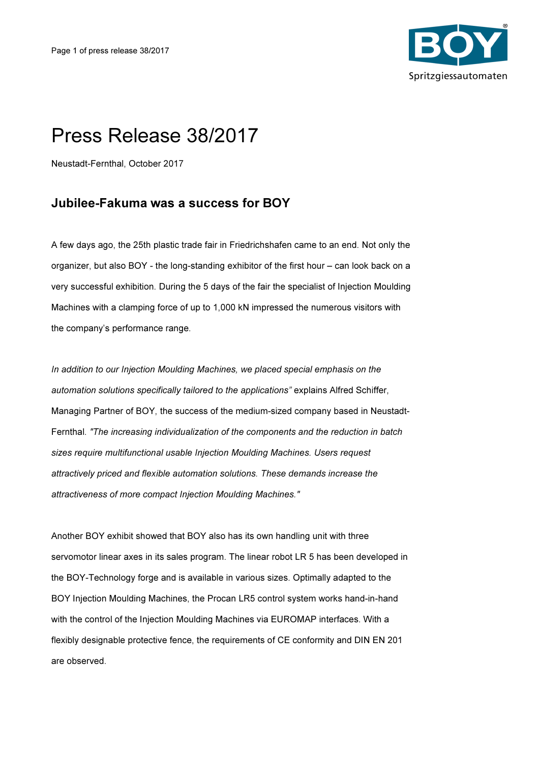

# Press Release 38/2017

Neustadt-Fernthal, October 2017

## Jubilee-Fakuma was a success for BOY

A few days ago, the 25th plastic trade fair in Friedrichshafen came to an end. Not only the organizer, but also BOY - the long-standing exhibitor of the first hour – can look back on a very successful exhibition. During the 5 days of the fair the specialist of Injection Moulding Machines with a clamping force of up to 1,000 kN impressed the numerous visitors with the company's performance range.

In addition to our Injection Moulding Machines, we placed special emphasis on the automation solutions specifically tailored to the applications" explains Alfred Schiffer, Managing Partner of BOY, the success of the medium-sized company based in Neustadt-Fernthal. "The increasing individualization of the components and the reduction in batch sizes require multifunctional usable Injection Moulding Machines. Users request attractively priced and flexible automation solutions. These demands increase the attractiveness of more compact Injection Moulding Machines."

Another BOY exhibit showed that BOY also has its own handling unit with three servomotor linear axes in its sales program. The linear robot LR 5 has been developed in the BOY-Technology forge and is available in various sizes. Optimally adapted to the BOY Injection Moulding Machines, the Procan LR5 control system works hand-in-hand with the control of the Injection Moulding Machines via EUROMAP interfaces. With a flexibly designable protective fence, the requirements of CE conformity and DIN EN 201 are observed.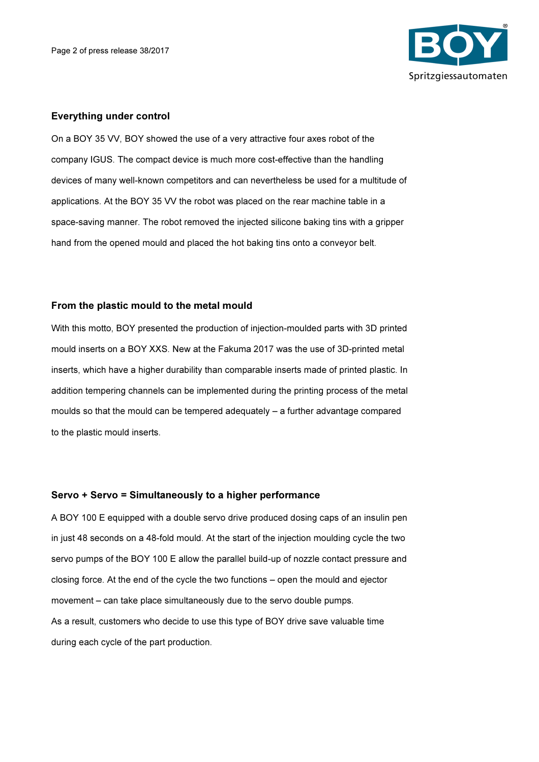

#### Everything under control

On a BOY 35 VV, BOY showed the use of a very attractive four axes robot of the company IGUS. The compact device is much more cost-effective than the handling devices of many well-known competitors and can nevertheless be used for a multitude of applications. At the BOY 35 VV the robot was placed on the rear machine table in a space-saving manner. The robot removed the injected silicone baking tins with a gripper hand from the opened mould and placed the hot baking tins onto a conveyor belt.

### From the plastic mould to the metal mould

With this motto, BOY presented the production of injection-moulded parts with 3D printed mould inserts on a BOY XXS. New at the Fakuma 2017 was the use of 3D-printed metal inserts, which have a higher durability than comparable inserts made of printed plastic. In addition tempering channels can be implemented during the printing process of the metal moulds so that the mould can be tempered adequately – a further advantage compared to the plastic mould inserts.

#### Servo + Servo = Simultaneously to a higher performance

A BOY 100 E equipped with a double servo drive produced dosing caps of an insulin pen in just 48 seconds on a 48-fold mould. At the start of the injection moulding cycle the two servo pumps of the BOY 100 E allow the parallel build-up of nozzle contact pressure and closing force. At the end of the cycle the two functions – open the mould and ejector movement – can take place simultaneously due to the servo double pumps. As a result, customers who decide to use this type of BOY drive save valuable time during each cycle of the part production.